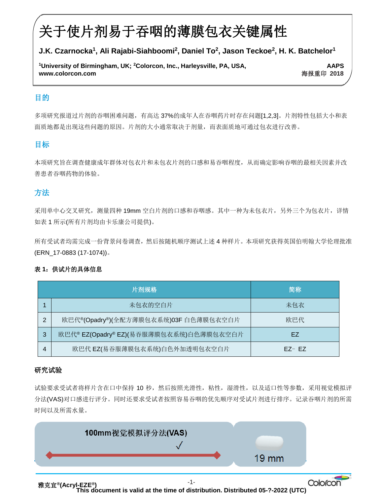# 关于使片剂易于吞咽的薄膜包衣关键属性

# **J.K. Czarnocka<sup>1</sup> , Ali Rajabi-Siahboomi<sup>2</sup> , Daniel To<sup>2</sup> , Jason Teckoe<sup>2</sup> , H. K. Batchelor<sup>1</sup>**

 **www.colorcon.com** 海报重印 **2018 <sup>1</sup>University of Birmingham, UK; <sup>2</sup>Colorcon, Inc., Harleysville, PA, USA, AAPS**

## 目的

ī

多项研究报道过片剂的吞咽困难问题,有高达 37%的成年人在吞咽药片时存在问题[1,2,3]。片剂特性包括大小和表  面质地都是出现这些问题的原因。片剂的大小通常取决于剂量,而表面质地可通过包衣进行改善。

## 目标

本项研究旨在调查健康成年群体对包衣片和未包衣片剂的口感和易吞咽程度,从而确定影响吞咽的最相关因素并改 善患者吞咽药物的体验。

# 方法

采用单中心交叉研究, 测量四种 19mm 空白片剂的口感和吞咽感。其中一种为未包衣片, 另外三个为包衣片, 详情 如表 1 所示(所有片剂均由卡乐康公司提供)。

所有受试者均需完成一份背景问卷调查,然后按随机顺序测试上述 4 种样片。本项研究获得英国伯明翰大学伦理批准 (ERN\_17-0883 (17-1074))。

#### 表 **1**:供试片的具体信息

| 片剂规格 |                                         | 简称        |
|------|-----------------------------------------|-----------|
|      | 未包衣的空白片                                 | 未包衣       |
| 2    | 欧巴代®(Opadry®)(全配方薄膜包衣系统)03F 白色薄膜包衣空白片   | 欧巴代       |
| 3    | 欧巴代® EZ(Opadry® EZ)(易吞服薄膜包衣系统)白色薄膜包衣空白片 | F7        |
| 4    | 欧巴代 EZ(易吞服薄膜包衣系统)白色外加透明包衣空白片            | $EZ - EZ$ |

#### 研究试验

试验要求受试者将样片含在口中保持 10 秒,然后按照光滑性,粘性,湿滑性,以及适口性等参数,采用视觉模拟评 分法(VAS)对口感进行评分。同时还要求受试者按照容易吞咽的优先顺序对受试片剂进行排序。记录吞咽片剂的所需 时间以及所需水量。



**This document is valid at the time of distribution. Distributed 05-?-2022 (UTC)**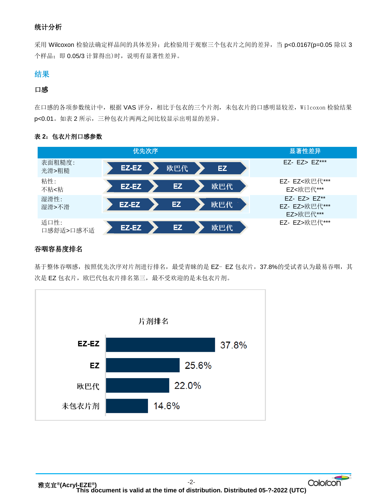# 统计分析

采用 Wilcoxon 检验法确定样品间的具体差异;此检验用于观察三个包衣片之间的差异,当 p<0.0167(p=0.05 除以 3 个样品;即 0.05/3 计算得出)时,说明有显著性差异。

# 结果

#### 口感

在口感的各项参数统计中,根据 VAS 评分,相比于包衣的三个片剂,未包衣片的口感明显较差, Wilcoxon 检验结果 p<0.01。如表 2 所示,三种包衣片两两之间比较显示出明显的差异。

## 表 **2**:包衣片剂口感参数



#### 吞咽容易度排名

基于整体吞咽感,按照优先次序对片剂进行排名,最受青睐的是 EZ- EZ 包衣片, 37.8%的受试者认为最易吞咽, 其 次是 EZ 包衣片, 欧巴代包衣片排名第三, 最不受欢迎的是未包衣片剂。

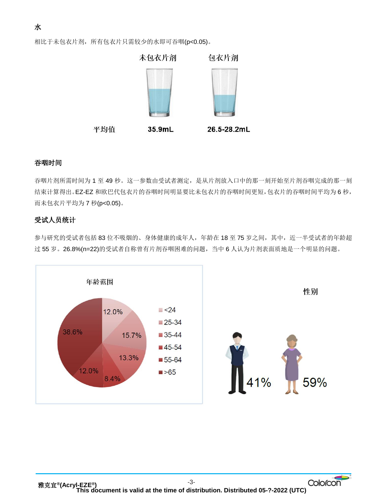相比于未包衣片剂,所有包衣片只需较少的水即可吞咽(p<0.05)。



#### 吞咽时间

吞咽片剂所需时间为 1 至 49 秒。这一参数由受试者测定,是从片剂放入口中的那一刻开始至片剂吞咽完成的那一刻 结束计算得出。EZ-EZ 和欧巴代包衣片的吞咽时间明显要比未包衣片的吞咽时间更短,包衣片的吞咽时间平均为 6 秒, 而未包衣片平均为 7 秒(p<0.05)。

#### 受试人员统计

参与研究的受试者包括 83 位不吸烟的、身体健康的成年人,年龄在 18 至 75 岁之间,其中,近一半受试者的年龄超 过 55 岁。26.8%(n=22)的受试者自称曾有片剂吞咽困难的问题,当中 6 人认为片剂表面质地是一个明显的问题。